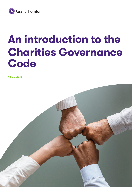

# **An introduction to the Charities Governance Code**

**February 2020**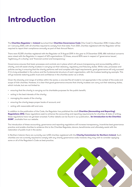# **Introduction**

The **Charities Regulator** in **Ireland** launched their **Charities Governance Code** ('the Code') in November 2018. It takes effect on 1 January 2020, with all charities required to comply from that date. From 2021, charities registered with the Regulator will be required to report their compliance annually as part of their Annual Return.

There were 10,305 charities registered with the Regulator at 31 August 2019. In the year to 31 December 2018, 686 individual concerns were raised with the Regulator in respect of 423 organisations. Of these, around 83% were in respect of 'governance issues', 'legitimacy of a charity' and 'financial control and transparency'.

Governance ensures that basic processes and controls are in place which will ensure transparency and accountability within a charity, and will assist charity trustees in carrying out their statutory, regulatory and fiduciary duties. While rules, processes and policies are key in ensuring that the charity performs well and complies with legal requirements, good governance will only succeed if it is truly embedded in the culture and the fundamental structure of each organisation, with the trustees leading by example. This will go towards restoring public trust and confidence in the charities sector as a whole.

Given the diversity and range of entities within the sector, a one-size-fits-all model is not appropriate in the context of the scale and scope of Irish charities. However, it is clear that good governance ensures that charity trustees can carry out their statutory duties, which include, but are not limited to:

- ensuring that the charity is carrying out its charitable purposes for the public benefit;
- acting in the best interests of the charity;
- managing the assets of the charity;
- ensuring the charity keeps proper books of account; and
- acting with reasonable skill and care.

In addition to the publication of the Code, the Regulator has published the draft **Charities (Accounting and Reporting) Regulations 2016**; these regulations seek to enhance the accounting and reporting requirements for charities. At date of writing, these regulations have not yet been enacted. Further details can be found in our publication, '**An Introduction to the Charities SORP**', available from our website.

The introduction of these accounting, governance and reporting regulations will increase transparency, incentivise best governance practice and enable charities to evidence this to the Charities Regulator, donors, beneficiaries and ultimately assist with the restoration of public trust in the sector.

In Northern Ireland, there are currently over 6,100 charities registered with the **Charity Commission for Northern Ireland**. Such charities are not currently required to comply with any charity governance code; however, they may wish to consider applying some or all of the Regulator's Code as best practice.

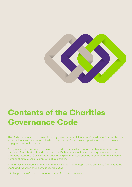

# **Contents of the Charities Governance Code**

The Code outlines six principles of charity governance, which are considered here. All charities are expected to meet the core standards outlined in the Code, unless a particular standard doesn't apply to a particular charity.

Alongside each core standard are additional standards, which are applicable to more complex charities. Each charity should decide for itself whether it should meet the requirements in the additional standard. Consideration should be given to factors such as level of charitable income, number of employees or complexity of operations.

All charities registered with the Regulator will be required to apply these principles from 1 January 2020, and report on their compliance from 2021.

A full copy of the Code can be found on the Regulator's website.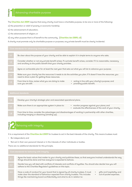The **Charities Act 2009** requires that every charity must have a charitable purpose, to be one or more of the following: A charities Act 2009 requires that every charity must have a charitable purpose, to be one or more of the formulation or relief of poverty or economic hardship;<br>
a) the prevention or relief of poverty or economic hardship;

- a) the prevention or relief of poverty or economic hardship;
- b) the advancement of education;
- c) the advancement of religion; or
- d) any other purpose that is of benefit to the community. (**Charities Act 2009, s3**)

|  |  | Be clear about the purpose of your charity and be able to explain it in simple terms to anyone who asks. |
|--|--|----------------------------------------------------------------------------------------------------------|
|  |  |                                                                                                          |

Consider whether or not any private benefit arises. If a private benefit arises, consider if it is reasonable, necessary and ancillary to the public benefit that your charity provides.

Agree an achievable plan for at least the next year that sets out what you will do to advance your purpose.

Make sure your charity has the resources it needs to do the activities you plan. If it doesn't have the resources, you need to show a plan for getting those resources. 1.4

From time to time, review what you are doing to make sure you are still:

- acting in line with your charity's purpose; and
- providing public benefit.

| 1.6 <sub>1</sub> | Develop your charity's strategic plan and associated operational plans.                                                                                          |
|------------------|------------------------------------------------------------------------------------------------------------------------------------------------------------------|
| 1.7 <sub>z</sub> | Make sure there is an appropriate system in place to:<br>• monitor progress against your plans; and<br>• evaluate the effectiveness of the work of your charity. |
| $1.8$ ,          | From time to time, consider the advantages and disadvantages of working in partnership with other charities,<br>including merging or dissolving (winding up).    |
|                  |                                                                                                                                                                  |



It is a requirement of the **Charities Act 2009** for trustees to act in the best interests of the charity. This means trustees must:

- Be independent; and
- Not act in their own personal interest or in the interests of other individuals or bodies.

There are no additional standards for this principle.

| 2.1 | Agree the basic values that matter to your charity and publicise these, so that everyone involved understands the way<br>things should be done and how everyone is expected to behave.                                                                                                                                         |
|-----|--------------------------------------------------------------------------------------------------------------------------------------------------------------------------------------------------------------------------------------------------------------------------------------------------------------------------------|
|     |                                                                                                                                                                                                                                                                                                                                |
| 2.2 | Decide how you will deal with conflicts of interests and conflicts of loyalties. You should also decide how you will<br>adhere to the Charities Regulator's guidelines on this topic.                                                                                                                                          |
|     |                                                                                                                                                                                                                                                                                                                                |
| 2.3 | Have a code of conduct for your board that is signed by all charity trustees. It must<br>gifts and hospitality; and<br>٠<br>out-of-pocket expenses.<br>make clear the standard of behaviour expected from charity trustees. This includes<br>٠<br>things like maintaining board confidentiality and what to do in relation to: |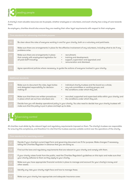

| rineipi      | <b>Leading people</b>                                                                                                                                                                                                                                     |
|--------------|-----------------------------------------------------------------------------------------------------------------------------------------------------------------------------------------------------------------------------------------------------------|
| them.        | A charity's most valuable resources are its people, whether employees or volunteers, and each charity has a duty of care towards                                                                                                                          |
|              | As employers, charities should also ensure they are meeting their other legal requirements with respect to their employees.                                                                                                                               |
|              | Core standards for advancing charitable purpose                                                                                                                                                                                                           |
| 3.1          | Be clear about the roles of everyone working in and for your charity, both on a voluntary and paid basis.                                                                                                                                                 |
| 3.2          | Make sure there are arrangements in place for the effective involvement of any volunteers, including what to do if any<br>problems arise.                                                                                                                 |
| 3.3          | Make sure there are arrangements in place<br>recruitment;<br>that comply with employment legislation for<br>training and development;<br>all paid staff including:<br>support, supervision and appraisal; and<br>remuneration and dismissal.<br>$\bullet$ |
| 3.4          | Agree operational policies where necessary, to guide the actions of everyone involved in your charity.                                                                                                                                                    |
|              | <b>Additional standards</b>                                                                                                                                                                                                                               |
| 3.5          | Make sure to document the roles, legal duties<br>individual charity trustees and the board as a whole;<br>any sub-committees or working groups; and<br>and delegated responsibility for decision-<br>the conditions under which they exit.<br>making of:  |
| 3.6          | recruited, supported and supervised while within your charity; and<br>Make sure that there are written procedures<br>in place which set out how volunteers are:<br>the conditions under which they exit.<br>$\bullet$                                     |
|              | Decide how you will develop operational policy in your charity. You also need to decide how your charity trustees will<br>make sure that the policy is put in place and kept up to date.                                                                  |
| <b>Delpi</b> | Exercising control                                                                                                                                                                                                                                        |

| 3.5 | individual charity trustees and the board as a whole;<br>Make sure to document the roles, legal duties<br>$\bullet$<br>and delegated responsibility for decision-<br>any sub-committees or working groups; and<br>the conditions under which they exit.<br>making of:<br>$\bullet$ |  |
|-----|------------------------------------------------------------------------------------------------------------------------------------------------------------------------------------------------------------------------------------------------------------------------------------|--|
| 3.6 | recruited, supported and supervised while within your charity; and<br>Make sure that there are written procedures<br>$\bullet$<br>the conditions under which they exit.<br>in place which set out how volunteers are:<br>$\bullet$                                                 |  |
| 3.7 | Decide how you will develop operational policy in your charity. You also need to decide how your charity trustees will<br>make sure that the policy is put in place and kept up to date.                                                                                           |  |

# **4** Exercising control

All charities must abide by the relevant legal and regulatory requirements imposed on them. The charity's trustees are responsible for ensuring this compliance, and therefore it is vital that the trustees exercise suitable control over the operations of the charity.

| Core standards for exercising control |                                                                                                                                                                                         |  |
|---------------------------------------|-----------------------------------------------------------------------------------------------------------------------------------------------------------------------------------------|--|
| 4.1                                   | Decide if your charity's current legal form and governing document are fit for purpose. Make changes if necessary,<br>telling the Charities Regulator in advance that you are doing so. |  |
| 4.2                                   | Find out the laws and regulatory requirements that are relevant to your charity and comply with them.                                                                                   |  |
| 4.3                                   | If your charity raises funds from the public, read the Charities Regulator's guidelines on this topic and make sure that<br>your charity adheres to them as they apply to your charity. |  |
| 4.4                                   | Make sure you have appropriate financial controls in place to manage and account for your charity's money and<br>other assets.                                                          |  |
| 4.5                                   | Identify any risks your charity might face and how to manage these.                                                                                                                     |  |
| 4.6                                   | Make sure your charity has appropriate and adequate insurance cover.                                                                                                                    |  |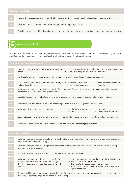

It is essential for the effective running of any organisation that the members work together as a team. This is especially important for trustee boards, where trustees must work together effectively to support their beneficiaries.

|                  | Core standards for exercising control                                                                                                                                                    |
|------------------|------------------------------------------------------------------------------------------------------------------------------------------------------------------------------------------|
| 5.1              | • any designated roles set out in your governing document; and<br>Identify charity trustees with the necessary skills to<br>• other roles as appropriate within the board.<br>undertake: |
| 5.2              | Hold regular board meetings. Give enough notice before meetings and provide prepared agendas.                                                                                            |
| 5.3              | At a minimum, your board agendas should always<br>• reporting on activities;<br>• conflicts of interests and<br>include these items:<br>• review of finances; and<br>loyalties.          |
| 5.4 <sub>1</sub> | Make sure that your charity trustees have the facts to make informed decisions at board meetings and that these<br>decisions are recorded accurately in the minutes.                     |
| 5.5 <sub>1</sub> | Consider introducing term limits for your charity trustees, with a suggested maximum of nine years in total.                                                                             |
| 5.6              | Recruit suitable new charity trustees as necessary and make sure that they receive an induction.                                                                                         |
| 5.7              | the charity's governing<br>Make sure all of your trustees understand:<br>• this code; and<br>$\bullet$<br>document;<br>• their role as charity trustees.                                 |
| 5.8              | Commit to resolving problems and emerging issues as quickly as possible and in the best interests of your charity.                                                                       |
| 5.9 <sub>1</sub> | From time to time, review how your board operates and make any necessary improvements.                                                                                                   |

|      | <b>Additional standards</b>                                                                                                                                                                                                                                                                                                                                                                                                     |
|------|---------------------------------------------------------------------------------------------------------------------------------------------------------------------------------------------------------------------------------------------------------------------------------------------------------------------------------------------------------------------------------------------------------------------------------|
|      |                                                                                                                                                                                                                                                                                                                                                                                                                                 |
| 5.10 | Make sure you send out board packs with enough notice and include all relevant reports and explanatory papers to<br>enable informed decision-making.                                                                                                                                                                                                                                                                            |
|      |                                                                                                                                                                                                                                                                                                                                                                                                                                 |
| 5.11 | Make sure that you have a charity trustee succession plan in place and consider how you can maximise diversity<br>among your charity trustees.                                                                                                                                                                                                                                                                                  |
|      |                                                                                                                                                                                                                                                                                                                                                                                                                                 |
| 5.12 | Put in place a comprehensive induction programme for new charity trustees.                                                                                                                                                                                                                                                                                                                                                      |
|      |                                                                                                                                                                                                                                                                                                                                                                                                                                 |
| 5.13 | • the effectiveness of your board as a whole, office holders<br>Make sure that your charity trustees have the facts<br>to make informed decisions at board meetings and<br>and individual charity trustees;<br>• adherence to the board code of conduct: and<br>that these decisions are recorded accurately in the<br>the structure, size, membership and terms of reference of<br>minutes:<br>$\bullet$<br>any sub-committee. |
|      |                                                                                                                                                                                                                                                                                                                                                                                                                                 |
| 5.14 | Do regular skills audits and provide appropriate training and development to charity trustees. If necessary, recruit to<br>fulfill any competency gaps on the board of your charity.                                                                                                                                                                                                                                            |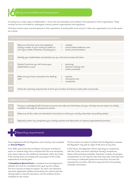Being accountable and transparent

A charity has a wide range of stakeholders – those who are interested and invested in the operations of the organisation. These include, but are not limited to, employees, donors, partner organisations and regulators.

Charities must be open and transparent in their operations, to build public trust not just in their own organisation, but in the sector as a whole.

| Core standards for being accountable and transparent |                                                                                                                                          |                                                                                                         |
|------------------------------------------------------|------------------------------------------------------------------------------------------------------------------------------------------|---------------------------------------------------------------------------------------------------------|
| 6.1                                                  | Make sure that the name and registered<br>charity number of your charity is visible on<br>all of your written materials, including your: | website;<br>$\bullet$<br>social media platforms; and<br>$\bullet$<br>email communications.<br>$\bullet$ |
| 6.2                                                  | Identify your stakeholders and decide how you will communicate with them.                                                                |                                                                                                         |
| 6.3                                                  | Decide if and how you will involve your<br>stakeholders in your:                                                                         | planning;<br>decision-making; and<br>$\bullet$<br>review processes.<br>$\bullet$                        |
| 6.4                                                  | Make sure you have a procedure for dealing<br>with:                                                                                      | queries;<br>$\bullet$<br>comments; and<br>$\bullet$<br>complaints.<br>٠                                 |
| 6.5                                                  | Follow the reporting requirements of all of your funders and donors, both public and private.                                            |                                                                                                         |

**6**

**Principle**

| 16.6 <sub>1</sub> | Produce unabridged (full) financial accounts and make sure that these and your charity's annual report are widely<br>available and easy for everyone to access. |
|-------------------|-----------------------------------------------------------------------------------------------------------------------------------------------------------------|
|                   | Make sure all the codes and standards of practice to which your charity subscribes are publicly stated.                                                         |
|                   |                                                                                                                                                                 |
|                   |                                                                                                                                                                 |

Regularly review any complaints your charity receives and take action to improve organisational practice.



Once registered with the Regulator, each charity must complete an **Annual Report**.

From 2021, part of this Annual Report will require charities to report on whether they have complied with the core standards, and, where relevant, the additional standards, within the Code. If the charity does not comply with any aspect of the Code, explanations must be given.

A **Compliance Record Form** is available from the Regulator's website; this must be completed each year by the trustees. The form requires trustees to explain, for each core standard and each applicable additional standard, the actions that the charity takes to meet the standard, and the evidence that is available for this action.

The form does not need to be filed with the Regulator; however, the Regulator may ask for sight of the form at any time.

In the future, the Regulator will be reporting on compliance with the Code, and each individual charity's compliance status will be publicly available. Therefore, trustees should give consideration to not only the risks that may arise internally from not having an adequate governance structure, but also the reputational and other risks that may arise from this publicly available information.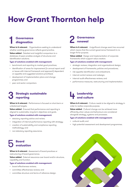# **How Grant Thornton help**

## **Governance diagnostics**

**When is it relevant** - Organisations seeking to understand whether exisiting governance reflects good practice.

**Value added** - Detailed and insightful comparison to a database of peers enables analysis of structures and identification solutions.

### **Type of solutions enabled with management:**

- benchmark and reporting to market good practices;
- identifcation of areas for improvement (in annual report and/ or issues with internal framework and approach) dependent on appetite and suggested solutions prioritised;
- development of implementation plans and change programmes; and
- peer and sector comparison.

## **Strategic sustainable reporting**

**When is it relevant** - Performance is focused on short-term or unbalanced targets.

**Value added** - Ensured that performance and reporting is aligned to sustainable, long-term objectives and goals.

### **Type of solutions enabled with management:**

- statutory reporting advice and review;
- integration of internal performance reporting with strategy;
- creation of sustainability and compliance reporting methodology; and
- non-statutory reporting assurance.

## **Board evaluation**

**When is it relevant** - Assessment of board practices or restructuring of board governance.

**Value added** - External assurance over board and/or structure, capability and function.

### **Type of solutions enabled with management:**

- board effectiveness reviews;
- committee effectiveness reviews; and
- committee structure and terms of reference design.

### **Governance renewal**

When is it relevant - A significant change event has occurred which means that the current governance framework is no longer fit for purpose.

**Value added** - Design and implementation of corporate frameworks which support value creation.

### **Type of solutions enabled with management:**

- strategic reviews, integration and organisational design;
- development of frameworks, policies and procedures;
- risk appetite identification and embedment;
- internal control reviews and redesign;
- internal audit effectiveness reviews; and
- performance measures, restructuring and implementation.

### **Leadership and culture**

When is it relevant - Culture needs to be aligned to strategy in order to realise corporate purpose.

**Value added** - Cultural change can be achieved more efficiently when values and behaviours are considered alongside strategy, systems and processes.

### **Type of solutions enabled with management:**

- cultural audit; and
- high potential assessment and development programmes.

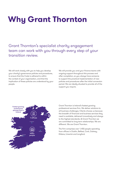# **Why Grant Thornton**

Grant Thornton's specialist charity engagement team can work with you through every step of your transition review.

We will work closely with you to help you develop your charity's governance policies and procedures, to ensure that the Code is adhered to within the context of your organisation, and that the implication of these policies are understood by your people.

We will provide you and your finance teams with ongoing support throughout this process and after completion, so you always have someone to support the practical implementation of new policies and procedures after the initial conversion period. We are ideally situated to provide all of the support you require.



Grant Thornton is Ireland's fastest growing professional services firm. We deliver solutions to all business challenges. Clients choose us because the breadth of financial and business services they need is available, delivered innovatively and always to the highest standards. At Grant Thornton we are committed to long term relationships. We are different. We are Grant Thornton.

The firm comprises over 1,450 people operating from offices in Dublin, Belfast, Cork, Galway, Kildare, Limerick and Longford.